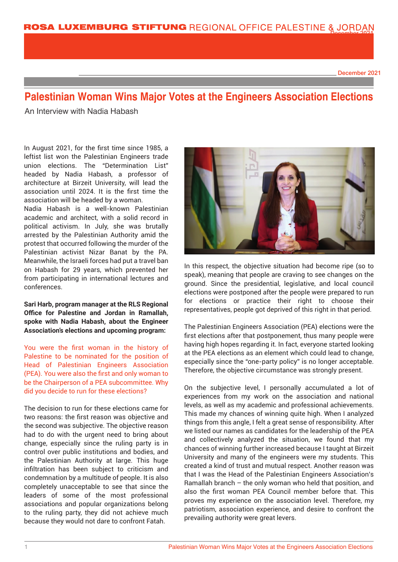December 2021

# **Palestinian Woman Wins Major Votes at the Engineers Association Elections**

An Interview with Nadia Habash

In August 2021, for the first time since 1985, a leftist list won the Palestinian Engineers trade union elections. The "Determination List" headed by Nadia Habash, a professor of architecture at Birzeit University, will lead the association until 2024. It is the first time the association will be headed by a woman.

Nadia Habash is a well-known Palestinian academic and architect, with a solid record in political activism. In July, she was brutally arrested by the Palestinian Authority amid the protest that occurred following the murder of the Palestinian activist Nizar Banat by the PA. Meanwhile, the Israeli forces had put a travel ban on Habash for 29 years, which prevented her from participating in international lectures and conferences.

**Sari Harb, program manager at the RLS Regional Office for Palestine and Jordan in Ramallah, spoke with Nadia Habash, about the Engineer Association's elections and upcoming program:**

You were the first woman in the history of Palestine to be nominated for the position of Head of Palestinian Engineers Association (PEA). You were also the first and only woman to be the Chairperson of a PEA subcommittee. Why did you decide to run for these elections?

The decision to run for these elections came for two reasons: the first reason was objective and the second was subjective. The objective reason had to do with the urgent need to bring about change, especially since the ruling party is in control over public institutions and bodies, and the Palestinian Authority at large. This huge infiltration has been subject to criticism and condemnation by a multitude of people. It is also completely unacceptable to see that since the leaders of some of the most professional associations and popular organizations belong to the ruling party, they did not achieve much because they would not dare to confront Fatah.



In this respect, the objective situation had become ripe (so to speak), meaning that people are craving to see changes on the ground. Since the presidential, legislative, and local council elections were postponed after the people were prepared to run for elections or practice their right to choose their representatives, people got deprived of this right in that period.

The Palestinian Engineers Association (PEA) elections were the first elections after that postponement, thus many people were having high hopes regarding it. In fact, everyone started looking at the PEA elections as an element which could lead to change, especially since the "one-party policy" is no longer acceptable. Therefore, the objective circumstance was strongly present.

On the subjective level, I personally accumulated a lot of experiences from my work on the association and national levels, as well as my academic and professional achievements. This made my chances of winning quite high. When I analyzed things from this angle, I felt a great sense of responsibility. After we listed our names as candidates for the leadership of the PEA and collectively analyzed the situation, we found that my chances of winning further increased because I taught at Birzeit University and many of the engineers were my students. This created a kind of trust and mutual respect. Another reason was that I was the Head of the Palestinian Engineers Association's Ramallah branch – the only woman who held that position, and also the first woman PEA Council member before that. This proves my experience on the association level. Therefore, my patriotism, association experience, and desire to confront the prevailing authority were great levers.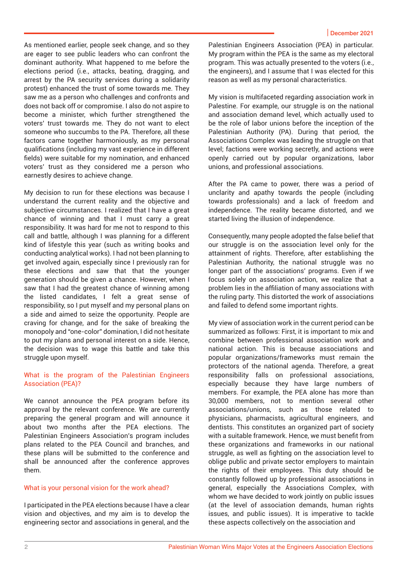As mentioned earlier, people seek change, and so they are eager to see public leaders who can confront the dominant authority. What happened to me before the elections period (i.e., attacks, beating, dragging, and arrest by the PA security services during a solidarity protest) enhanced the trust of some towards me. They saw me as a person who challenges and confronts and does not back off or compromise. I also do not aspire to become a minister, which further strengthened the voters' trust towards me. They do not want to elect someone who succumbs to the PA. Therefore, all these factors came together harmoniously, as my personal qualifications (including my vast experience in different fields) were suitable for my nomination, and enhanced voters' trust as they considered me a person who earnestly desires to achieve change.

My decision to run for these elections was because I understand the current reality and the objective and subjective circumstances. I realized that I have a great chance of winning and that I must carry a great responsibility. It was hard for me not to respond to this call and battle, although I was planning for a different kind of lifestyle this year (such as writing books and conducting analytical works). I had not been planning to get involved again, especially since I previously ran for these elections and saw that that the younger generation should be given a chance. However, when I saw that I had the greatest chance of winning among the listed candidates, I felt a great sense of responsibility, so I put myself and my personal plans on a side and aimed to seize the opportunity. People are craving for change, and for the sake of breaking the monopoly and "one-color" domination, I did not hesitate to put my plans and personal interest on a side. Hence, the decision was to wage this battle and take this struggle upon myself.

### What is the program of the Palestinian Engineers Association (PEA)?

We cannot announce the PEA program before its approval by the relevant conference. We are currently preparing the general program and will announce it about two months after the PEA elections. The Palestinian Engineers Association's program includes plans related to the PEA Council and branches, and these plans will be submitted to the conference and shall be announced after the conference approves them.

## What is your personal vision for the work ahead?

I participated in the PEA elections because I have a clear vision and objectives, and my aim is to develop the engineering sector and associations in general, and the

Palestinian Engineers Association (PEA) in particular. My program within the PEA is the same as my electoral program. This was actually presented to the voters (i.e., the engineers), and I assume that I was elected for this reason as well as my personal characteristics.

My vision is multifaceted regarding association work in Palestine. For example, our struggle is on the national and association demand level, which actually used to be the role of labor unions before the inception of the Palestinian Authority (PA). During that period, the Associations Complex was leading the struggle on that level; factions were working secretly, and actions were openly carried out by popular organizations, labor unions, and professional associations.

After the PA came to power, there was a period of unclarity and apathy towards the people (including towards professionals) and a lack of freedom and independence. The reality became distorted, and we started living the illusion of independence.

Consequently, many people adopted the false belief that our struggle is on the association level only for the attainment of rights. Therefore, after establishing the Palestinian Authority, the national struggle was no longer part of the associations' programs. Even if we focus solely on association action, we realize that a problem lies in the affiliation of many associations with the ruling party. This distorted the work of associations and failed to defend some important rights.

My view of association work in the current period can be summarized as follows: First, it is important to mix and combine between professional association work and national action. This is because associations and popular organizations/frameworks must remain the protectors of the national agenda. Therefore, a great responsibility falls on professional associations, especially because they have large numbers of members. For example, the PEA alone has more than 30,000 members, not to mention several other associations/unions, such as those related to physicians, pharmacists, agricultural engineers, and dentists. This constitutes an organized part of society with a suitable framework. Hence, we must benefit from these organizations and frameworks in our national struggle, as well as fighting on the association level to oblige public and private sector employers to maintain the rights of their employees. This duty should be constantly followed up by professional associations in general, especially the Associations Complex, with whom we have decided to work jointly on public issues (at the level of association demands, human rights issues, and public issues). It is imperative to tackle these aspects collectively on the association and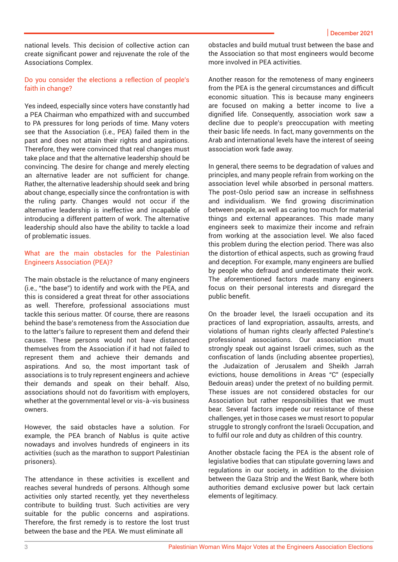national levels. This decision of collective action can create significant power and rejuvenate the role of the Associations Complex.

### Do you consider the elections a reflection of people's faith in change?

Yes indeed, especially since voters have constantly had a PEA Chairman who empathized with and succumbed to PA pressures for long periods of time. Many voters see that the Association (i.e., PEA) failed them in the past and does not attain their rights and aspirations. Therefore, they were convinced that real changes must take place and that the alternative leadership should be convincing. The desire for change and merely electing an alternative leader are not sufficient for change. Rather, the alternative leadership should seek and bring about change, especially since the confrontation is with the ruling party. Changes would not occur if the alternative leadership is ineffective and incapable of introducing a different pattern of work. The alternative leadership should also have the ability to tackle a load of problematic issues.

### What are the main obstacles for the Palestinian Engineers Association (PEA)?

The main obstacle is the reluctance of many engineers (i.e., "the base") to identify and work with the PEA, and this is considered a great threat for other associations as well. Therefore, professional associations must tackle this serious matter. Of course, there are reasons behind the base's remoteness from the Association due to the latter's failure to represent them and defend their causes. These persons would not have distanced themselves from the Association if it had not failed to represent them and achieve their demands and aspirations. And so, the most important task of associations is to truly represent engineers and achieve their demands and speak on their behalf. Also, associations should not do favoritism with employers, whether at the governmental level or vis-à-vis business owners.

However, the said obstacles have a solution. For example, the PEA branch of Nablus is quite active nowadays and involves hundreds of engineers in its activities (such as the marathon to support Palestinian prisoners).

The attendance in these activities is excellent and reaches several hundreds of persons. Although some activities only started recently, yet they nevertheless contribute to building trust. Such activities are very suitable for the public concerns and aspirations. Therefore, the first remedy is to restore the lost trust between the base and the PEA. We must eliminate all

obstacles and build mutual trust between the base and the Association so that most engineers would become more involved in PEA activities.

Another reason for the remoteness of many engineers from the PEA is the general circumstances and difficult economic situation. This is because many engineers are focused on making a better income to live a dignified life. Consequently, association work saw a decline due to people's preoccupation with meeting their basic life needs. In fact, many governments on the Arab and international levels have the interest of seeing association work fade away.

In general, there seems to be degradation of values and principles, and many people refrain from working on the association level while absorbed in personal matters. The post-Oslo period saw an increase in selfishness and individualism. We find growing discrimination between people, as well as caring too much for material things and external appearances. This made many engineers seek to maximize their income and refrain from working at the association level. We also faced this problem during the election period. There was also the distortion of ethical aspects, such as growing fraud and deception. For example, many engineers are bullied by people who defraud and underestimate their work. The aforementioned factors made many engineers focus on their personal interests and disregard the public benefit.

On the broader level, the Israeli occupation and its practices of land expropriation, assaults, arrests, and violations of human rights clearly affected Palestine's professional associations. Our association must strongly speak out against Israeli crimes, such as the confiscation of lands (including absentee properties), the Judaization of Jerusalem and Sheikh Jarrah evictions, house demolitions in Areas "C" (especially Bedouin areas) under the pretext of no building permit. These issues are not considered obstacles for our Association but rather responsibilities that we must bear. Several factors impede our resistance of these challenges, yet in those cases we must resort to popular struggle to strongly confront the Israeli Occupation, and to fulfil our role and duty as children of this country.

Another obstacle facing the PEA is the absent role of legislative bodies that can stipulate governing laws and regulations in our society, in addition to the division between the Gaza Strip and the West Bank, where both authorities demand exclusive power but lack certain elements of legitimacy.